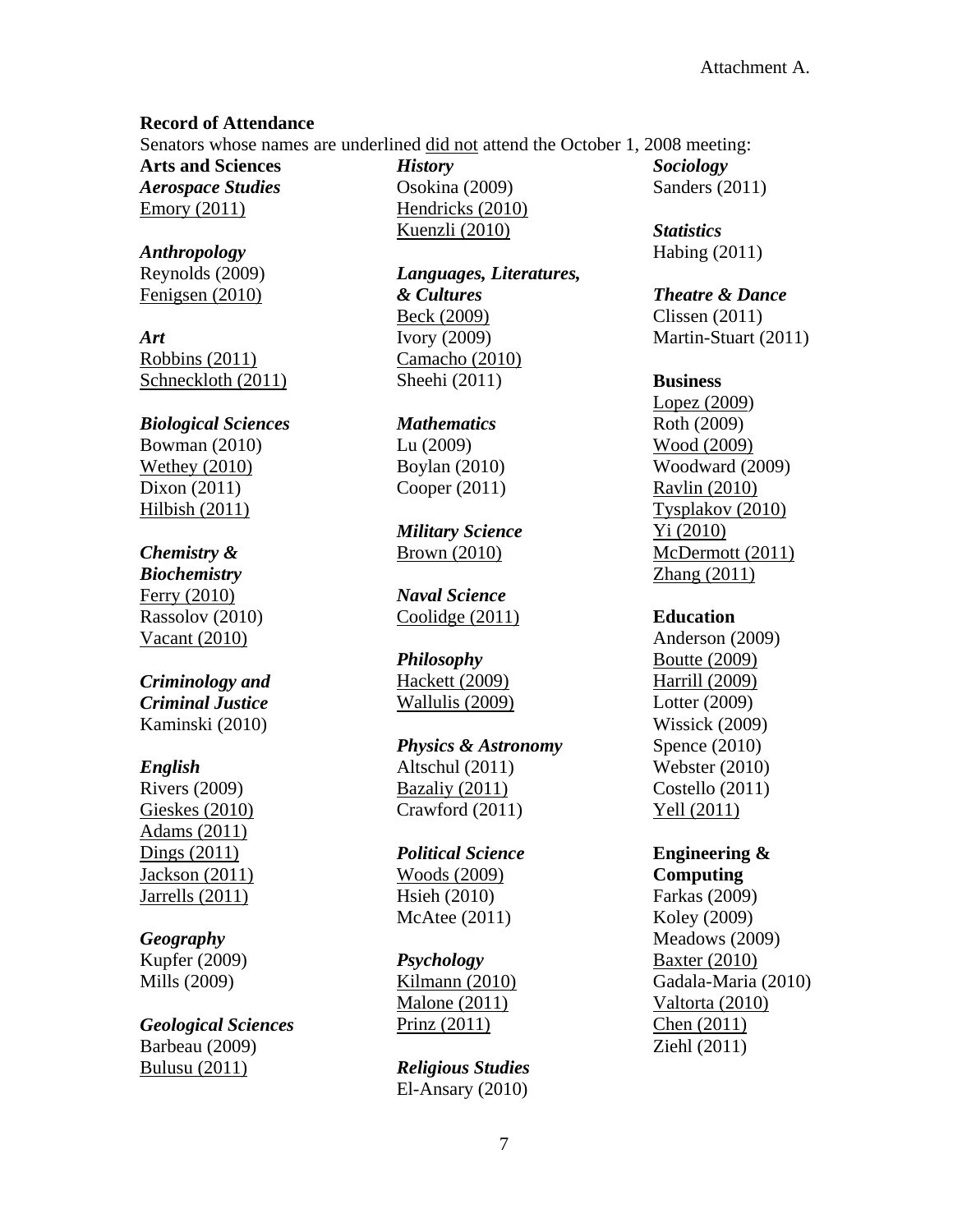## **Record of Attendance**

Senators whose names are underlined did not attend the October 1, 2008 meeting:

**Arts and Sciences** *Aerospace Studies* Emory (2011)

*Anthropology* Reynolds (2009) Fenigsen (2010)

*Art* Robbins (2011) Schneckloth (2011)

# *Biological Sciences*

Bowman (2010) Wethey (2010) Dixon (2011) Hilbish (2011)

# *Chemistry &*

*Biochemistry* Ferry (2010) Rassolov (2010) Vacant (2010)

## *Criminology and Criminal Justice* Kaminski (2010)

## *English*

Rivers (2009) Gieskes (2010) Adams (2011) Dings (2011) Jackson (2011) Jarrells (2011)

## *Geography*

Kupfer (2009) Mills (2009)

# *Geological Sciences*

Barbeau (2009) Bulusu (2011)

*History* Osokina (2009) Hendricks (2010) Kuenzli (2010)

*Languages, Literatures, & Cultures* Beck (2009) Ivory (2009) Camacho (2010) Sheehi (2011)

#### *Mathematics* Lu (2009)

Boylan (2010) Cooper (2011)

*Military Science* Brown (2010)

*Naval Science* Coolidge (2011)

## *Philosophy*

Hackett (2009) Wallulis (2009)

## *Physics & Astronomy* Altschul (2011) Bazaliy (2011) Crawford (2011)

## *Political Science* Woods (2009) Hsieh (2010) McAtee (2011)

*Psychology* Kilmann (2010) Malone (2011) Prinz (2011)

*Religious Studies* El-Ansary (2010) *Sociology* Sanders (2011)

*Statistics* Habing (2011)

#### *Theatre & Dance*

Clissen (2011) Martin-Stuart (2011)

## **Business**

Lopez (2009) Roth (2009) Wood (2009) Woodward (2009) Ravlin (2010) Tysplakov (2010) Yi (2010) McDermott (2011) Zhang (2011)

## **Education**

Anderson (2009) Boutte (2009) Harrill (2009) Lotter (2009) Wissick (2009) Spence (2010) Webster (2010) Costello (2011) Yell (2011)

## **Engineering & Computing**

Farkas (2009) Koley (2009) Meadows (2009) Baxter (2010) Gadala-Maria (2010) Valtorta (2010) Chen (2011) Ziehl (2011)